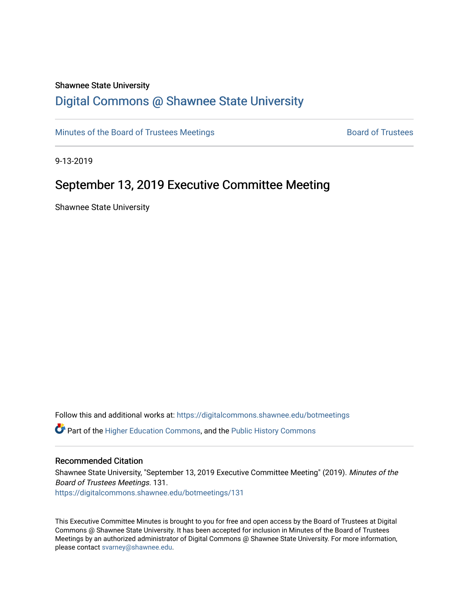#### Shawnee State University

## [Digital Commons @ Shawnee State University](https://digitalcommons.shawnee.edu/)

[Minutes of the Board of Trustees Meetings](https://digitalcommons.shawnee.edu/botmeetings) **Board of Trustees** Board of Trustees

9-13-2019

## September 13, 2019 Executive Committee Meeting

Shawnee State University

Follow this and additional works at: [https://digitalcommons.shawnee.edu/botmeetings](https://digitalcommons.shawnee.edu/botmeetings?utm_source=digitalcommons.shawnee.edu%2Fbotmeetings%2F131&utm_medium=PDF&utm_campaign=PDFCoverPages) 

Part of the [Higher Education Commons,](https://network.bepress.com/hgg/discipline/1245?utm_source=digitalcommons.shawnee.edu%2Fbotmeetings%2F131&utm_medium=PDF&utm_campaign=PDFCoverPages) and the [Public History Commons](https://network.bepress.com/hgg/discipline/1292?utm_source=digitalcommons.shawnee.edu%2Fbotmeetings%2F131&utm_medium=PDF&utm_campaign=PDFCoverPages)

#### Recommended Citation

Shawnee State University, "September 13, 2019 Executive Committee Meeting" (2019). Minutes of the Board of Trustees Meetings. 131. [https://digitalcommons.shawnee.edu/botmeetings/131](https://digitalcommons.shawnee.edu/botmeetings/131?utm_source=digitalcommons.shawnee.edu%2Fbotmeetings%2F131&utm_medium=PDF&utm_campaign=PDFCoverPages) 

This Executive Committee Minutes is brought to you for free and open access by the Board of Trustees at Digital Commons @ Shawnee State University. It has been accepted for inclusion in Minutes of the Board of Trustees Meetings by an authorized administrator of Digital Commons @ Shawnee State University. For more information, please contact [svarney@shawnee.edu.](mailto:svarney@shawnee.edu)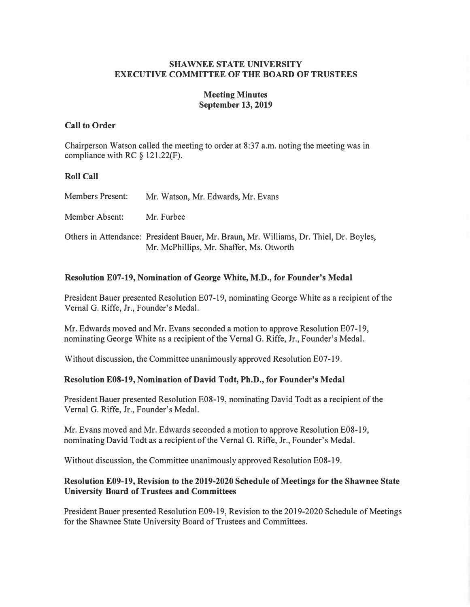## **SHAWNEE STATE UNIVERSITY EXECUTIVE COMMITTEE OF THE BOARD OF TRUSTEES**

## **Meeting Minutes September 13, 2019**

### **Call to Order**

Chairperson Watson called the meeting to order at 8:37 a.m. noting the meeting was in compliance with RC § 121.22(F).

#### **Roll Call**

| <b>Members Present:</b> | Mr. Watson, Mr. Edwards, Mr. Evans                                                                                                 |
|-------------------------|------------------------------------------------------------------------------------------------------------------------------------|
| Member Absent:          | Mr. Furbee                                                                                                                         |
|                         | Others in Attendance: President Bauer, Mr. Braun, Mr. Williams, Dr. Thiel, Dr. Boyles,<br>Mr. McPhillips, Mr. Shaffer, Ms. Otworth |

### **Resolution E07-19, Nomination of George White, M.D., for Founder's Medal**

President Bauer presented Resolution E07-19, nominating George White as a recipient of the Vernal G. Riffe, Jr., Founder's Medal.

Mr. Edwards moved and Mr. Evans seconded a motion to approve Resolution E07-19, nominating George White as a recipient of the Vernal G. Riffe, Jr., Founder's Medal.

Without discussion, the Committee unanimously approved Resolution E07-19.

### **Resolution E0S-19, Nomination of David Todt, Ph.D., for Founder's Medal**

President Bauer presented Resolution E08-19, nominating David Todt as a recipient of the Vernal G. Riffe, Jr., Founder's Medal.

Mr. Evans moved and Mr. Edwards seconded a motion to approve Resolution E08-19, nominating David Todt as a recipient of the Vernal G. Riffe, Jr., Founder's Medal.

Without discussion, the Committee unanimously approved Resolution E08-19.

### **Resolution E09-19, Revision to the 2019-2020 Schedule of Meetings for the Shawnee State University Board of Trustees and Committees**

President Bauer presented Resolution E09-19, Revision to the 2019-2020 Schedule of Meetings for the Shawnee State University Board of Trustees and Committees.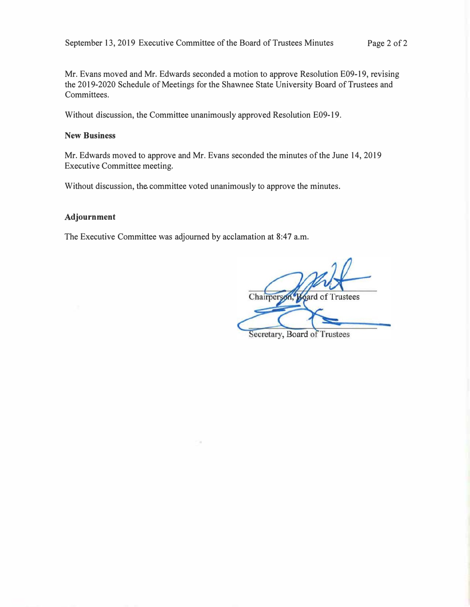**Mr. Evans moved and Mr. Edwards seconded a motion to approve Resolution E09-19, revising the 2019-2020 Schedule of Meetings for the Shawnee State University Board of Trustees and Committees.** 

**Without discussion, the Committee unanimously approved Resolution E09-19.** 

#### **New Business**

**Mr. Edwards moved to approve and Mr. Evans seconded the minutes of the June 14, 2019 Executive Committee meeting.** 

**Without discussion, the. committee voted unanimously to approve the minutes.** 

#### **Adjournment**

**The Executive Committee was adjourned by acclamation at 8:47 a.m.** 

Chairperse **Board of Trustees** 

Secretary, Board of Trustees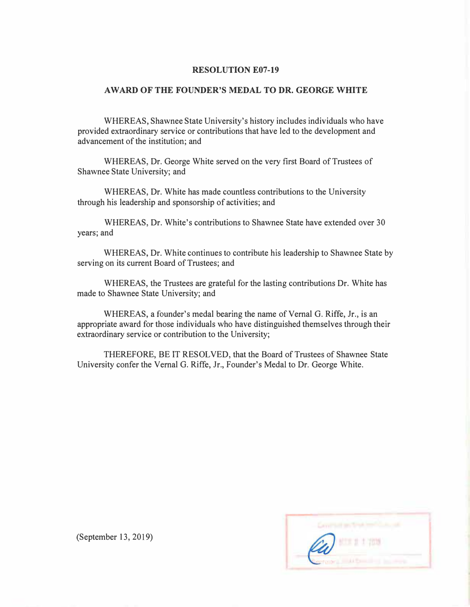#### **RESOLUTION E07-19**

#### **AWARD OF THE FOUNDER'S MEDAL TO DR. GEORGE WHITE**

**WHEREAS, Shawnee State University's history includes individuals who have provided extraordinary service or contributions that have led to the development and advancement of the institution; and** 

**WHEREAS, Dr. George White served on the very first Board of Trustees of Shawnee State University; and** 

**WHEREAS, Dr. White has made countless contributions to the University through his leadership and sponsorship of activities; and** 

**WHEREAS, Dr. White's contributions to Shawnee State have extended over 30 years; and** 

**WHEREAS, Dr. White continues to contribute his leadership to Shawnee State by serving on its current Board of Trustees; and** 

**WHEREAS, the Trustees are grateful for the lasting contributions Dr. White has made to Shawnee State University; and** 

**WHEREAS, a founder's medal bearing the name of Vernal G. Riffe, Jr., is an appropriate award for those individuals who have distinguished themselves through their extraordinary service or contribution to the University;** 

**THEREFORE, BE IT RESOLVED, that the Board of Trustees of Shawnee State University confer the Vernal G. Riffe, Jr., Founder's Medal to Dr. George White.** 



**(September 13, 2019)**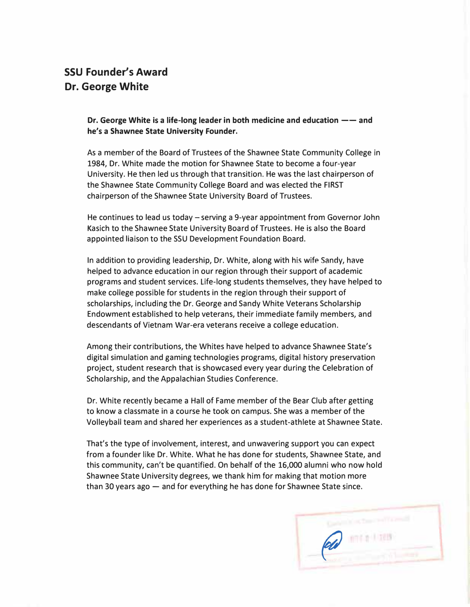# **SSU Founder's Award Dr. George White**

**Dr. George White is a life-long leader in both medicine and education**  $--$  **and he's a Shawnee State University Founder.** 

As a member of the Board of Trustees of the Shawnee State Community College in 1984, Dr. White made the motion for Shawnee State to become a four-year University. He then led us through that transition. He was the last chairperson of the Shawnee State Community College Board and was elected the FIRST chairperson of the Shawnee State University Board of Trustees.

He continues to lead us today – serving a 9-year appointment from Governor John Kasich to the Shawnee State University Board of Trustees. He is also the Board appointed liaison to the SSU Development Foundation Board.

In addition to providing leadership, Dr. White, along with his wife Sandy, have helped to advance education in our region through their support of academic programs and student services. Life-long students themselves, they have helped to make college possible for students in the region through their support of scholarships, including the Dr. George and Sandy White Veterans Scholarship Endowment established to help veterans, their immediate family members, and descendants of Vietnam War-era veterans receive a college education.

Among their contributions, the Whites have helped to advance Shawnee State's digital simulation and gaming technologies programs, digital history preservation project, student research that is showcased every year during the Celebration of Scholarship, and the Appalachian Studies Conference.

Dr. White recently became a Hall of Fame member of the Bear Club after getting to know a classmate in a course he took on campus. She was a member of the Volleyball team and shared her experiences as a student-athlete at Shawnee State.

That's the type of involvement, interest, and unwavering support you can expect from a founder like Dr. White. What he has done for students, Shawnee State, and this community, can't be quantified. On behalf of the 16,000 alumni who now hold Shawnee State University degrees, we thank him for making that motion more than 30 years ago  $-$  and for everything he has done for Shawnee State since.

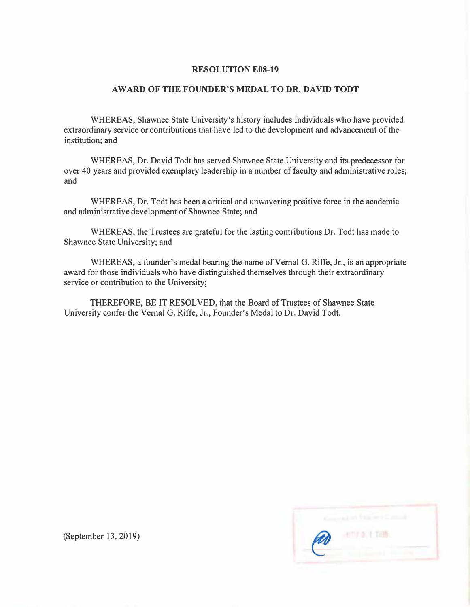#### **RESOLUTION E0S-19**

## **A WARD OF THE FOUNDER***'***S MEDAL TO DR. DAVID TODT**

**WHEREAS, Shawnee State University's history includes individuals who have provided extraordinary service or contributions that have led to the development and advancement of the institution; and** 

**WHEREAS, Dr. David Todt has served Shawnee State University and its predecessor for over 40 years and provided exemplary leadership in a number of faculty and administrative roles; and** 

**WHEREAS, Dr. Todt has been a critical and unwavering positive force in the academic and administrative development of Shawnee State; and** 

**WHEREAS, the Trustees are grateful for the lasting contributions Dr. Todt has made to Shawnee State University; and** 

**WHEREAS, a founder's medal bearing the name of Vernal G. Riffe, Jr., is an appropriate award for those individuals who have distinguished themselves through their extraordinary service or contribution to the University;** 

**THEREFORE, BE IT RESOLVED, that the Board of Trustees of Shawnee State University confer the Vernal G. Riffe, Jr., Founder's Medal to Dr. David Todt.** 

|   | of the with         |
|---|---------------------|
| B | <b>ATTLE AT THE</b> |
|   |                     |

**(September 13, 2019)**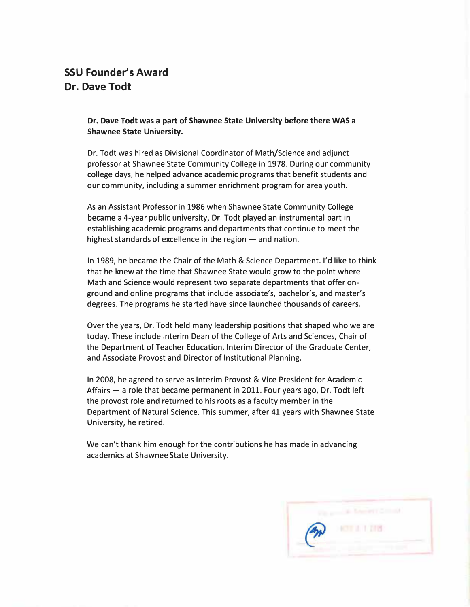## **SSU Founder's Award Dr. Dave Todt**

## **Dr. Dave Todt was a part of Shawnee State University before there WAS a Shawnee State University.**

Dr. Todt was hired as Divisional Coordinator of Math/Science and adjunct professor at Shawnee State Community College in 1978. During our community co*ll*ege days, he helped advance academic programs that benefit students and our community, inc*l*uding a summer enrichment program for area youth.

As an Assistant Professor in 1986 when Shawnee State Community College became a 4-year pub*l*ic university, Dr. Todt p*l*ayed an instrumental part in estab*l*ishing academic programs and departments that continue to meet the highest standards of excellence in the region  $-$  and nation.

In 1989, he became the Chair of the Math & Science Department. I'd *l*ike to think that he knew at the time that Shawnee State wou*l*d grow to the point where Math and Science wou*l*d represent two separate departments that offer onground and on line programs that include associate's, bache*l*or's, and master's degrees. The programs he started have since launched thousands of careers.

Over the years, Dr. Todt held many leadership positions that shaped who we are today. These inc*l*ude Interim Dean of the College of Arts and Sciences, Chair of the Department of Teacher Education, Interim Director of the Graduate Center, and Associate Provost and Director of Institutiona*l* P*l*anning.

In 2008, he agreed to serve as Interim Provost & Vice President for Academic Affairs  $-$  a role that became permanent in 2011. Four years ago, Dr. Todt left the provost role and returned to his roots as a facu*l*ty member in the Department of Natura*l* Science. This summer, after 41 years with Shawnee State University, he retired.

We can't thank him enough for the contributions he has made in advancing academics at Shawnee State University.

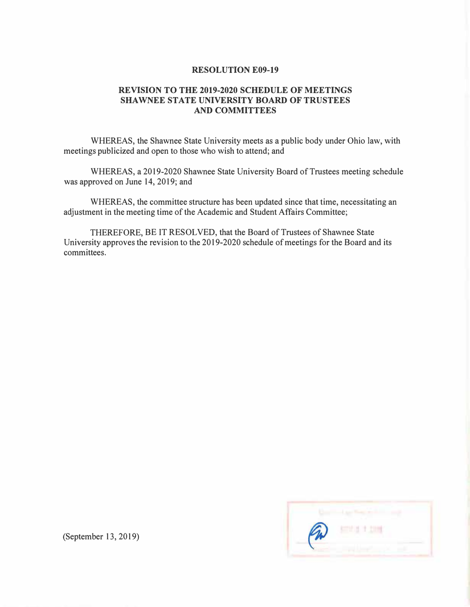#### **RESOLUTION E09-19**

## **REVISION TO THE 2019-2020 SCHEDULE OF MEETINGS SHAWNEE STATE UNIVERSITY BOARD OF TRUSTEES AND COMMITTEES**

**WHEREAS, the Shawnee State University meets as a public body under Ohio law, with meetings publicized and open to those who wish to attend; and** 

**WHEREAS, a 2019-2020 Shawnee State University Board of Trustees meeting schedule was approved on June 14, 2019; and** 

**WHEREAS, the committee structure has been updated since that time, necessitating an adjustment in the meeting time of the Academic and Student Affairs Committee;** 

**THEREFORE, BE IT RESOLVED, that the Board of Trustees of Shawnee State University approves the revision to the 2019-2020 schedule of meetings for the Board and its committees.** 



**(September 13, 2019)**